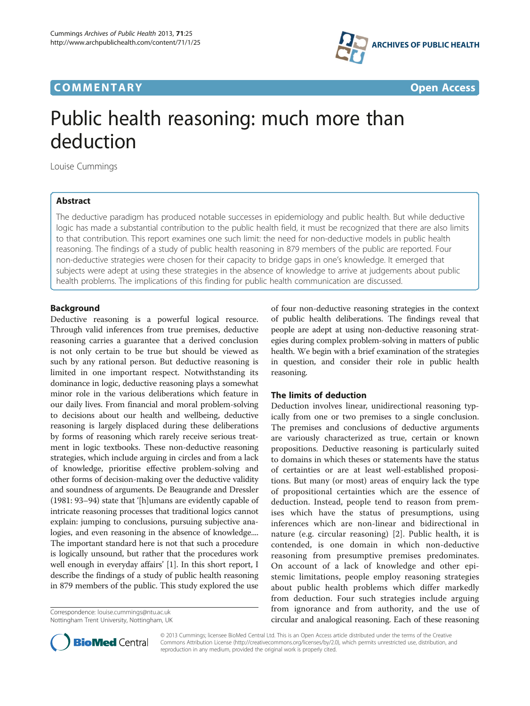## **COMMENTARY COMMENTARY Open Access**



# Public health reasoning: much more than deduction

Louise Cummings

## Abstract

The deductive paradigm has produced notable successes in epidemiology and public health. But while deductive logic has made a substantial contribution to the public health field, it must be recognized that there are also limits to that contribution. This report examines one such limit: the need for non-deductive models in public health reasoning. The findings of a study of public health reasoning in 879 members of the public are reported. Four non-deductive strategies were chosen for their capacity to bridge gaps in one's knowledge. It emerged that subjects were adept at using these strategies in the absence of knowledge to arrive at judgements about public health problems. The implications of this finding for public health communication are discussed.

## Background

Deductive reasoning is a powerful logical resource. Through valid inferences from true premises, deductive reasoning carries a guarantee that a derived conclusion is not only certain to be true but should be viewed as such by any rational person. But deductive reasoning is limited in one important respect. Notwithstanding its dominance in logic, deductive reasoning plays a somewhat minor role in the various deliberations which feature in our daily lives. From financial and moral problem-solving to decisions about our health and wellbeing, deductive reasoning is largely displaced during these deliberations by forms of reasoning which rarely receive serious treatment in logic textbooks. These non-deductive reasoning strategies, which include arguing in circles and from a lack of knowledge, prioritise effective problem-solving and other forms of decision-making over the deductive validity and soundness of arguments. De Beaugrande and Dressler (1981: 93–94) state that '[h]umans are evidently capable of intricate reasoning processes that traditional logics cannot explain: jumping to conclusions, pursuing subjective analogies, and even reasoning in the absence of knowledge.... The important standard here is not that such a procedure is logically unsound, but rather that the procedures work well enough in everyday affairs' [\[1](#page-3-0)]. In this short report, I describe the findings of a study of public health reasoning in 879 members of the public. This study explored the use

Correspondence: [louise.cummings@ntu.ac.uk](mailto:louise.cummings@ntu.ac.uk) Nottingham Trent University, Nottingham, UK of four non-deductive reasoning strategies in the context of public health deliberations. The findings reveal that people are adept at using non-deductive reasoning strategies during complex problem-solving in matters of public health. We begin with a brief examination of the strategies in question, and consider their role in public health reasoning.

## The limits of deduction

Deduction involves linear, unidirectional reasoning typically from one or two premises to a single conclusion. The premises and conclusions of deductive arguments are variously characterized as true, certain or known propositions. Deductive reasoning is particularly suited to domains in which theses or statements have the status of certainties or are at least well-established propositions. But many (or most) areas of enquiry lack the type of propositional certainties which are the essence of deduction. Instead, people tend to reason from premises which have the status of presumptions, using inferences which are non-linear and bidirectional in nature (e.g. circular reasoning) [[2\]](#page-3-0). Public health, it is contended, is one domain in which non-deductive reasoning from presumptive premises predominates. On account of a lack of knowledge and other epistemic limitations, people employ reasoning strategies about public health problems which differ markedly from deduction. Four such strategies include arguing from ignorance and from authority, and the use of circular and analogical reasoning. Each of these reasoning



© 2013 Cummings; licensee BioMed Central Ltd. This is an Open Access article distributed under the terms of the Creative Commons Attribution License [\(http://creativecommons.org/licenses/by/2.0\)](http://creativecommons.org/licenses/by/2.0), which permits unrestricted use, distribution, and reproduction in any medium, provided the original work is properly cited.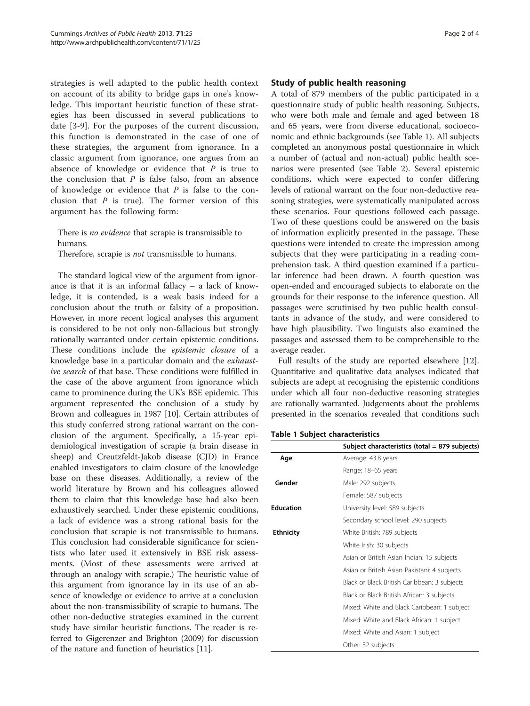strategies is well adapted to the public health context on account of its ability to bridge gaps in one's knowledge. This important heuristic function of these strategies has been discussed in several publications to date [[3-9](#page-3-0)]. For the purposes of the current discussion, this function is demonstrated in the case of one of these strategies, the argument from ignorance. In a classic argument from ignorance, one argues from an absence of knowledge or evidence that  $P$  is true to the conclusion that  $P$  is false (also, from an absence of knowledge or evidence that  $P$  is false to the conclusion that  $P$  is true). The former version of this argument has the following form:

There is no evidence that scrapie is transmissible to humans.

Therefore, scrapie is *not* transmissible to humans.

The standard logical view of the argument from ignorance is that it is an informal fallacy – a lack of knowledge, it is contended, is a weak basis indeed for a conclusion about the truth or falsity of a proposition. However, in more recent logical analyses this argument is considered to be not only non-fallacious but strongly rationally warranted under certain epistemic conditions. These conditions include the epistemic closure of a knowledge base in a particular domain and the exhaustive search of that base. These conditions were fulfilled in the case of the above argument from ignorance which came to prominence during the UK's BSE epidemic. This argument represented the conclusion of a study by Brown and colleagues in 1987 [\[10\]](#page-3-0). Certain attributes of this study conferred strong rational warrant on the conclusion of the argument. Specifically, a 15-year epidemiological investigation of scrapie (a brain disease in sheep) and Creutzfeldt-Jakob disease (CJD) in France enabled investigators to claim closure of the knowledge base on these diseases. Additionally, a review of the world literature by Brown and his colleagues allowed them to claim that this knowledge base had also been exhaustively searched. Under these epistemic conditions, a lack of evidence was a strong rational basis for the conclusion that scrapie is not transmissible to humans. This conclusion had considerable significance for scientists who later used it extensively in BSE risk assessments. (Most of these assessments were arrived at through an analogy with scrapie.) The heuristic value of this argument from ignorance lay in its use of an absence of knowledge or evidence to arrive at a conclusion about the non-transmissibility of scrapie to humans. The other non-deductive strategies examined in the current study have similar heuristic functions. The reader is referred to Gigerenzer and Brighton (2009) for discussion of the nature and function of heuristics [\[11\]](#page-3-0).

## Study of public health reasoning

A total of 879 members of the public participated in a questionnaire study of public health reasoning. Subjects, who were both male and female and aged between 18 and 65 years, were from diverse educational, socioeconomic and ethnic backgrounds (see Table 1). All subjects completed an anonymous postal questionnaire in which a number of (actual and non-actual) public health scenarios were presented (see Table [2\)](#page-2-0). Several epistemic conditions, which were expected to confer differing levels of rational warrant on the four non-deductive reasoning strategies, were systematically manipulated across these scenarios. Four questions followed each passage. Two of these questions could be answered on the basis of information explicitly presented in the passage. These questions were intended to create the impression among subjects that they were participating in a reading comprehension task. A third question examined if a particular inference had been drawn. A fourth question was open-ended and encouraged subjects to elaborate on the grounds for their response to the inference question. All passages were scrutinised by two public health consultants in advance of the study, and were considered to have high plausibility. Two linguists also examined the passages and assessed them to be comprehensible to the average reader.

Full results of the study are reported elsewhere [\[12](#page-3-0)]. Quantitative and qualitative data analyses indicated that subjects are adept at recognising the epistemic conditions under which all four non-deductive reasoning strategies are rationally warranted. Judgements about the problems presented in the scenarios revealed that conditions such

Table 1 Subject characteristics

|                  | Subject characteristics (total = 879 subjects) |
|------------------|------------------------------------------------|
| Age              | Average: 43.8 years                            |
|                  | Range: 18-65 years                             |
| Gender           | Male: 292 subjects                             |
|                  | Female: 587 subjects                           |
| <b>Education</b> | University level: 589 subjects                 |
|                  | Secondary school level: 290 subjects           |
| <b>Ethnicity</b> | White British: 789 subjects                    |
|                  | White Irish: 30 subjects                       |
|                  | Asian or British Asian Indian: 15 subjects     |
|                  | Asian or British Asian Pakistani: 4 subjects   |
|                  | Black or Black British Caribbean: 3 subjects   |
|                  | Black or Black British African: 3 subjects     |
|                  | Mixed: White and Black Caribbean: 1 subject    |
|                  | Mixed: White and Black African: 1 subject      |
|                  | Mixed: White and Asian: 1 subject              |
|                  | Other: 32 subjects                             |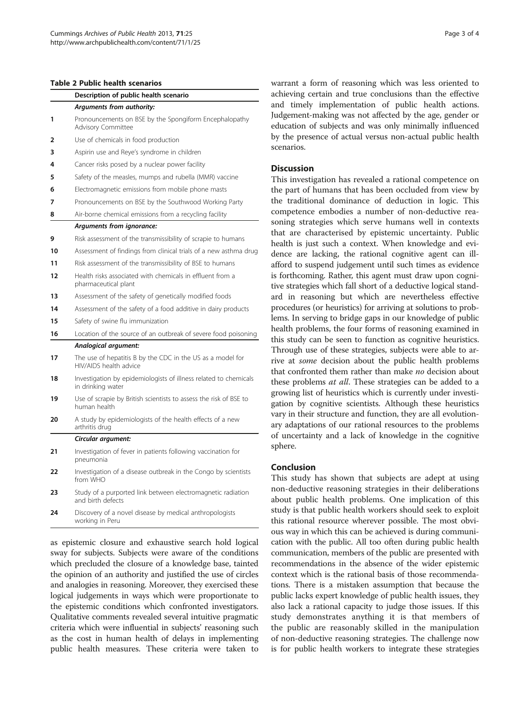#### <span id="page-2-0"></span>Table 2 Public health scenarios

|    | Description of public health scenario                                                 |  |
|----|---------------------------------------------------------------------------------------|--|
|    | Arguments from authority:                                                             |  |
| 1  | Pronouncements on BSE by the Spongiform Encephalopathy<br><b>Advisory Committee</b>   |  |
| 2  | Use of chemicals in food production                                                   |  |
| 3  | Aspirin use and Reye's syndrome in children                                           |  |
| 4  | Cancer risks posed by a nuclear power facility                                        |  |
| 5  | Safety of the measles, mumps and rubella (MMR) vaccine                                |  |
| 6  | Electromagnetic emissions from mobile phone masts                                     |  |
| 7  | Pronouncements on BSE by the Southwood Working Party                                  |  |
| 8  | Air-borne chemical emissions from a recycling facility                                |  |
|    | Arguments from ignorance:                                                             |  |
| 9  | Risk assessment of the transmissibility of scrapie to humans                          |  |
| 10 | Assessment of findings from clinical trials of a new asthma drug                      |  |
| 11 | Risk assessment of the transmissibility of BSE to humans                              |  |
| 12 | Health risks associated with chemicals in effluent from a<br>pharmaceutical plant     |  |
| 13 | Assessment of the safety of genetically modified foods                                |  |
| 14 | Assessment of the safety of a food additive in dairy products                         |  |
| 15 | Safety of swine flu immunization                                                      |  |
| 16 | Location of the source of an outbreak of severe food poisoning                        |  |
|    | Analogical argument:                                                                  |  |
| 17 | The use of hepatitis B by the CDC in the US as a model for<br>HIV/AIDS health advice  |  |
| 18 | Investigation by epidemiologists of illness related to chemicals<br>in drinking water |  |
| 19 | Use of scrapie by British scientists to assess the risk of BSE to<br>human health     |  |
| 20 | A study by epidemiologists of the health effects of a new<br>arthritis drug           |  |
|    | Circular argument:                                                                    |  |
| 21 | Investigation of fever in patients following vaccination for<br>pneumonia             |  |
| 22 | Investigation of a disease outbreak in the Congo by scientists<br>from WHO            |  |
| 23 | Study of a purported link between electromagnetic radiation<br>and birth defects      |  |
| 24 | Discovery of a novel disease by medical anthropologists                               |  |

**24** Discovery of a novel disease by medical anthropologists working in Peru

as epistemic closure and exhaustive search hold logical sway for subjects. Subjects were aware of the conditions which precluded the closure of a knowledge base, tainted the opinion of an authority and justified the use of circles and analogies in reasoning. Moreover, they exercised these logical judgements in ways which were proportionate to the epistemic conditions which confronted investigators. Qualitative comments revealed several intuitive pragmatic criteria which were influential in subjects' reasoning such as the cost in human health of delays in implementing public health measures. These criteria were taken to warrant a form of reasoning which was less oriented to hieving certain and true conclusions than the effective d timely implementation of public health actions. dgement-making was not affected by the age, gender or ucation of subjects and was only minimally influenced the presence of actual versus non-actual public health scenarios.

## Discussion

iis investigation has revealed a rational competence on e part of humans that has been occluded from view by e traditional dominance of deduction in logic. This mpetence embodies a number of non-deductive reaning strategies which serve humans well in contexts at are characterised by epistemic uncertainty. Public alth is just such a context. When knowledge and evince are lacking, the rational cognitive agent can illord to suspend judgement until such times as evidence forthcoming. Rather, this agent must draw upon cognie strategies which fall short of a deductive logical standd in reasoning but which are nevertheless effective procedures (or heuristics) for arriving at solutions to probns. In serving to bridge gaps in our knowledge of public alth problems, the four forms of reasoning examined in is study can be seen to function as cognitive heuristics. trough use of these strategies, subjects were able to arre at some decision about the public health problems at confronted them rather than make no decision about ese problems *at all*. These strategies can be added to a beta periodic swhich is currently under investition by cognitive scientists. Although these heuristics ry in their structure and function, they are all evolutionadaptations of our rational resources to the problems uncertainty and a lack of knowledge in the cognitive here.

#### nclusion

is study has shown that subjects are adept at using n-deductive reasoning strategies in their deliberations out public health problems. One implication of this dy is that public health workers should seek to exploit this rational resource wherever possible. The most obvious way in which this can be achieved is during communication with the public. All too often during public health communication, members of the public are presented with recommendations in the absence of the wider epistemic context which is the rational basis of those recommendations. There is a mistaken assumption that because the public lacks expert knowledge of public health issues, they also lack a rational capacity to judge those issues. If this study demonstrates anything it is that members of the public are reasonably skilled in the manipulation of non-deductive reasoning strategies. The challenge now is for public health workers to integrate these strategies